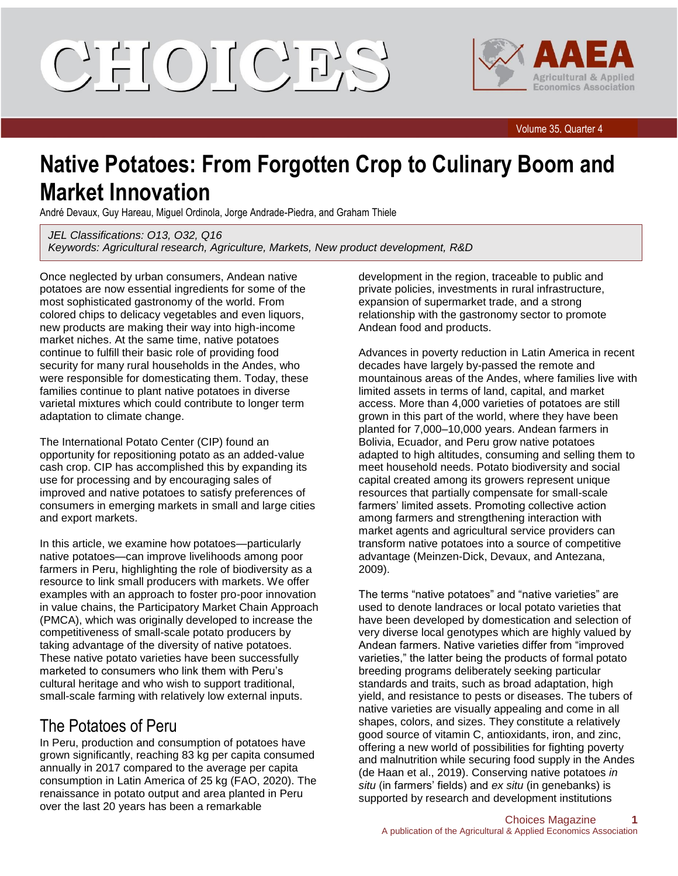# CIELOILCIE'S



Volume 35, Quarter 4

## **Native Potatoes: From Forgotten Crop to Culinary Boom and Market Innovation**

André Devaux, Guy Hareau, Miguel Ordinola, Jorge Andrade-Piedra, and Graham Thiele

*JEL Classifications: O13, O32, Q16 Keywords: Agricultural research, Agriculture, Markets, New product development, R&D*

Once neglected by urban consumers, Andean native potatoes are now essential ingredients for some of the most sophisticated gastronomy of the world. From colored chips to delicacy vegetables and even liquors, new products are making their way into high-income market niches. At the same time, native potatoes continue to fulfill their basic role of providing food security for many rural households in the Andes, who were responsible for domesticating them. Today, these families continue to plant native potatoes in diverse varietal mixtures which could contribute to longer term adaptation to climate change.

The International Potato Center (CIP) found an opportunity for repositioning potato as an added-value cash crop. CIP has accomplished this by expanding its use for processing and by encouraging sales of improved and native potatoes to satisfy preferences of consumers in emerging markets in small and large cities and export markets.

In this article, we examine how potatoes—particularly native potatoes—can improve livelihoods among poor farmers in Peru, highlighting the role of biodiversity as a resource to link small producers with markets. We offer examples with an approach to foster pro-poor innovation in value chains, the Participatory Market Chain Approach (PMCA), which was originally developed to increase the competitiveness of small-scale potato producers by taking advantage of the diversity of native potatoes. These native potato varieties have been successfully marketed to consumers who link them with Peru's cultural heritage and who wish to support traditional, small-scale farming with relatively low external inputs.

#### The Potatoes of Peru

In Peru, production and consumption of potatoes have grown significantly, reaching 83 kg per capita consumed annually in 2017 compared to the average per capita consumption in Latin America of 25 kg (FAO, 2020). The renaissance in potato output and area planted in Peru over the last 20 years has been a remarkable

development in the region, traceable to public and private policies, investments in rural infrastructure, expansion of supermarket trade, and a strong relationship with the gastronomy sector to promote Andean food and products.

Advances in poverty reduction in Latin America in recent decades have largely by-passed the remote and mountainous areas of the Andes, where families live with limited assets in terms of land, capital, and market access. More than 4,000 varieties of potatoes are still grown in this part of the world, where they have been planted for 7,000–10,000 years. Andean farmers in Bolivia, Ecuador, and Peru grow native potatoes adapted to high altitudes, consuming and selling them to meet household needs. Potato biodiversity and social capital created among its growers represent unique resources that partially compensate for small-scale farmers' limited assets. Promoting collective action among farmers and strengthening interaction with market agents and agricultural service providers can transform native potatoes into a source of competitive advantage (Meinzen-Dick, Devaux, and Antezana, 2009).

The terms "native potatoes" and "native varieties" are used to denote landraces or local potato varieties that have been developed by domestication and selection of very diverse local genotypes which are highly valued by Andean farmers. Native varieties differ from "improved varieties," the latter being the products of formal potato breeding programs deliberately seeking particular standards and traits, such as broad adaptation, high yield, and resistance to pests or diseases. The tubers of native varieties are visually appealing and come in all shapes, colors, and sizes. They constitute a relatively good source of vitamin C, antioxidants, iron, and zinc, offering a new world of possibilities for fighting poverty and malnutrition while securing food supply in the Andes (de Haan et al., 2019). Conserving native potatoes *in situ* (in farmers' fields) and *ex situ* (in genebanks) is supported by research and development institutions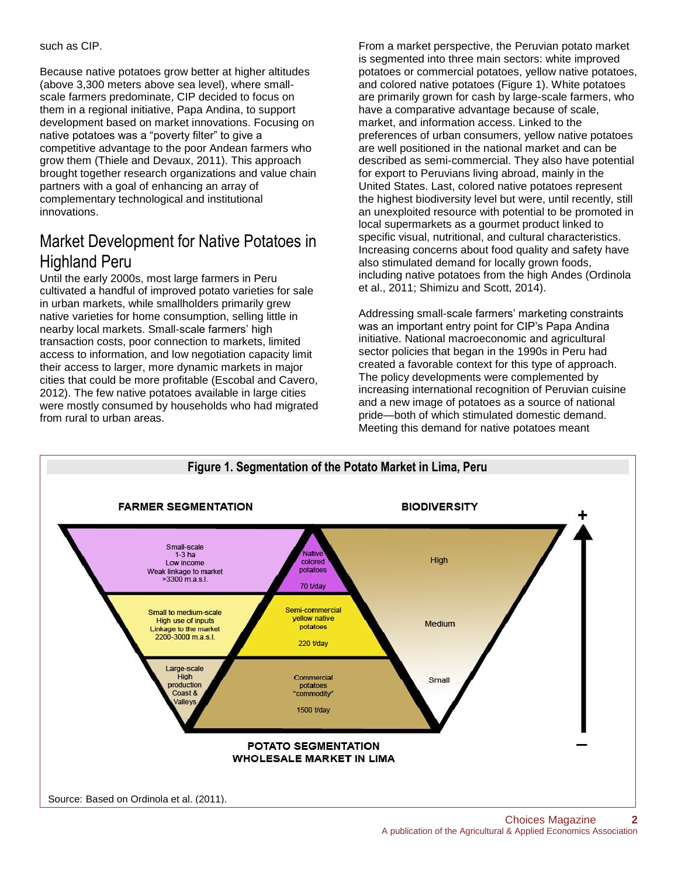such as CIP.

Because native potatoes grow better at higher altitudes (above 3,300 meters above sea level), where smallscale farmers predominate, CIP decided to focus on them in a regional initiative, Papa Andina, to support development based on market innovations. Focusing on native potatoes was a "poverty filter" to give a competitive advantage to the poor Andean farmers who grow them (Thiele and Devaux, 2011). This approach brought together research organizations and value chain partners with a goal of enhancing an array of complementary technological and institutional innovations.

### Market Development for Native Potatoes in Highland Peru

Until the early 2000s, most large farmers in Peru cultivated a handful of improved potato varieties for sale in urban markets, while smallholders primarily grew native varieties for home consumption, selling little in nearby local markets. Small-scale farmers' high transaction costs, poor connection to markets, limited access to information, and low negotiation capacity limit their access to larger, more dynamic markets in major cities that could be more profitable (Escobal and Cavero, 2012). The few native potatoes available in large cities were mostly consumed by households who had migrated from rural to urban areas.

From a market perspective, the Peruvian potato market is segmented into three main sectors: white improved potatoes or commercial potatoes, yellow native potatoes, and colored native potatoes (Figure 1). White potatoes are primarily grown for cash by large-scale farmers, who have a comparative advantage because of scale, market, and information access. Linked to the preferences of urban consumers, yellow native potatoes are well positioned in the national market and can be described as semi-commercial. They also have potential for export to Peruvians living abroad, mainly in the United States. Last, colored native potatoes represent the highest biodiversity level but were, until recently, still an unexploited resource with potential to be promoted in local supermarkets as a gourmet product linked to specific visual, nutritional, and cultural characteristics. Increasing concerns about food quality and safety have also stimulated demand for locally grown foods, including native potatoes from the high Andes (Ordinola et al., 2011; Shimizu and Scott, 2014).

Addressing small-scale farmers' marketing constraints was an important entry point for CIP's Papa Andina initiative. National macroeconomic and agricultural sector policies that began in the 1990s in Peru had created a favorable context for this type of approach. The policy developments were complemented by increasing international recognition of Peruvian cuisine and a new image of potatoes as a source of national pride—both of which stimulated domestic demand. Meeting this demand for native potatoes meant

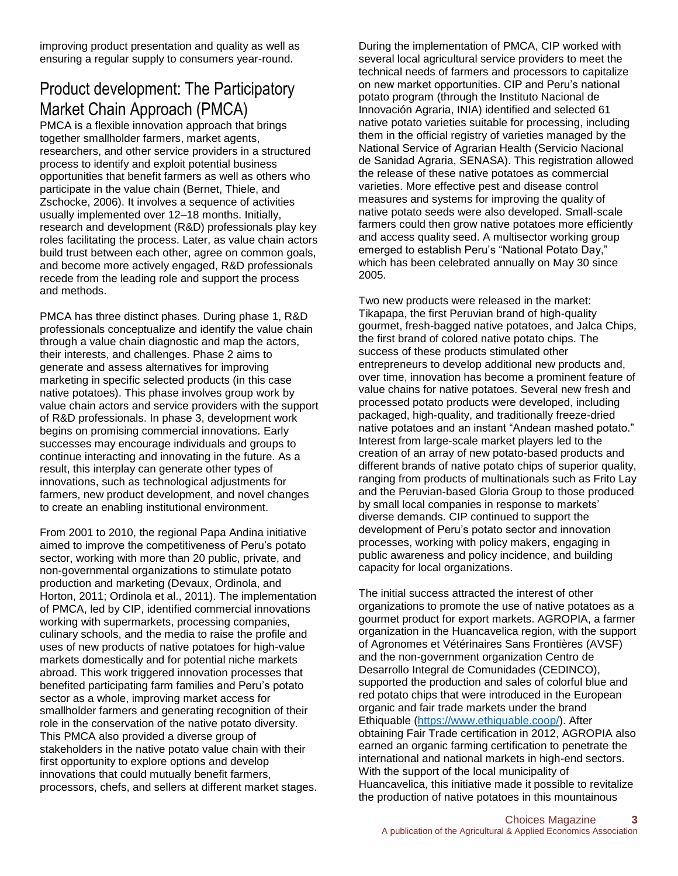improving product presentation and quality as well as ensuring a regular supply to consumers year-round.

#### Product development: The Participatory Market Chain Approach (PMCA)

PMCA is a flexible innovation approach that brings together smallholder farmers, market agents, researchers, and other service providers in a structured process to identify and exploit potential business opportunities that benefit farmers as well as others who participate in the value chain (Bernet, Thiele, and Zschocke, 2006). It involves a sequence of activities usually implemented over 12–18 months. Initially, research and development (R&D) professionals play key roles facilitating the process. Later, as value chain actors build trust between each other, agree on common goals, and become more actively engaged, R&D professionals recede from the leading role and support the process and methods.

PMCA has three distinct phases. During phase 1, R&D professionals conceptualize and identify the value chain through a value chain diagnostic and map the actors, their interests, and challenges. Phase 2 aims to generate and assess alternatives for improving marketing in specific selected products (in this case native potatoes). This phase involves group work by value chain actors and service providers with the support of R&D professionals. In phase 3, development work begins on promising commercial innovations. Early successes may encourage individuals and groups to continue interacting and innovating in the future. As a result, this interplay can generate other types of innovations, such as technological adjustments for farmers, new product development, and novel changes to create an enabling institutional environment.

From 2001 to 2010, the regional Papa Andina initiative aimed to improve the competitiveness of Peru's potato sector, working with more than 20 public, private, and non-governmental organizations to stimulate potato production and marketing (Devaux, Ordinola, and Horton, 2011; Ordinola et al., 2011). The implementation of PMCA, led by CIP, identified commercial innovations working with supermarkets, processing companies, culinary schools, and the media to raise the profile and uses of new products of native potatoes for high-value markets domestically and for potential niche markets abroad. This work triggered innovation processes that benefited participating farm families and Peru's potato sector as a whole, improving market access for smallholder farmers and generating recognition of their role in the conservation of the native potato diversity. This PMCA also provided a diverse group of stakeholders in the native potato value chain with their first opportunity to explore options and develop innovations that could mutually benefit farmers, processors, chefs, and sellers at different market stages.

During the implementation of PMCA, CIP worked with several local agricultural service providers to meet the technical needs of farmers and processors to capitalize on new market opportunities. CIP and Peru's national potato program (through the Instituto Nacional de Innovación Agraria, INIA) identified and selected 61 native potato varieties suitable for processing, including them in the official registry of varieties managed by the National Service of Agrarian Health (Servicio Nacional de Sanidad Agraria, SENASA). This registration allowed the release of these native potatoes as commercial varieties. More effective pest and disease control measures and systems for improving the quality of native potato seeds were also developed. Small-scale farmers could then grow native potatoes more efficiently and access quality seed. A multisector working group emerged to establish Peru's "National Potato Day," which has been celebrated annually on May 30 since 2005.

Two new products were released in the market: Tikapapa, the first Peruvian brand of high-quality gourmet, fresh-bagged native potatoes, and Jalca Chips*,*  the first brand of colored native potato chips. The success of these products stimulated other entrepreneurs to develop additional new products and, over time, innovation has become a prominent feature of value chains for native potatoes. Several new fresh and processed potato products were developed, including packaged, high-quality, and traditionally freeze-dried native potatoes and an instant "Andean mashed potato." Interest from large-scale market players led to the creation of an array of new potato-based products and different brands of native potato chips of superior quality, ranging from products of multinationals such as Frito Lay and the Peruvian-based Gloria Group to those produced by small local companies in response to markets' diverse demands. CIP continued to support the development of Peru's potato sector and innovation processes, working with policy makers, engaging in public awareness and policy incidence, and building capacity for local organizations.

The initial success attracted the interest of other organizations to promote the use of native potatoes as a gourmet product for export markets. AGROPIA, a farmer organization in the Huancavelica region, with the support of Agronomes et Vétérinaires Sans Frontières (AVSF) and the non-government organization Centro de Desarrollo Integral de Comunidades (CEDINCO), supported the production and sales of colorful blue and red potato chips that were introduced in the European organic and fair trade markets under the brand Ethiquable [\(https://www.ethiquable.coop/\)](https://www.ethiquable.coop/). After obtaining Fair Trade certification in 2012, AGROPIA also earned an organic farming certification to penetrate the international and national markets in high-end sectors. With the support of the local municipality of Huancavelica, this initiative made it possible to revitalize the production of native potatoes in this mountainous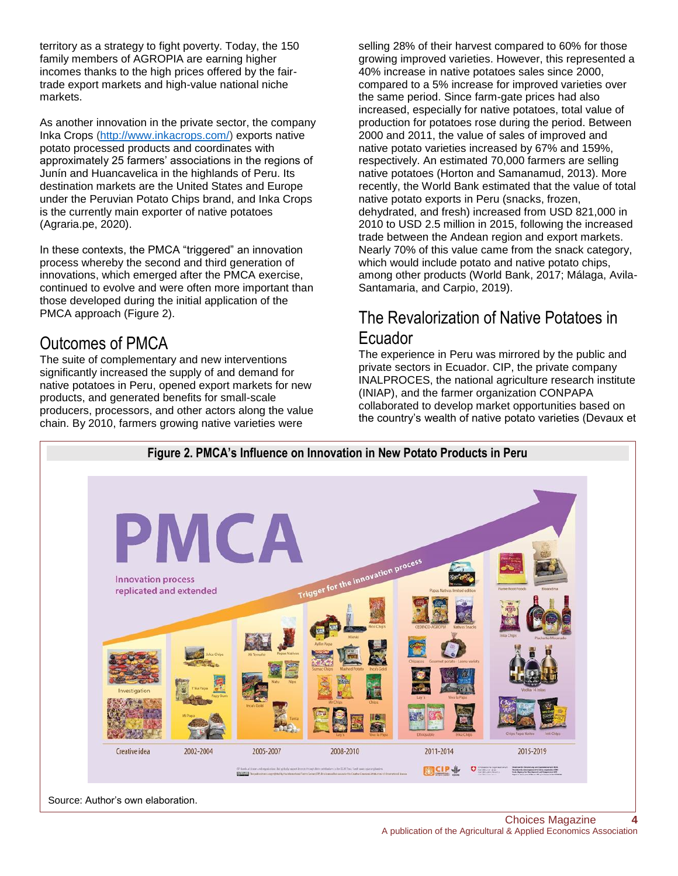territory as a strategy to fight poverty. Today, the 150 family members of AGROPIA are earning higher incomes thanks to the high prices offered by the fairtrade export markets and high-value national niche markets.

As another innovation in the private sector, the company Inka Crops [\(http://www.inkacrops.com/\)](http://www.inkacrops.com/) exports native potato processed products and coordinates with approximately 25 farmers' associations in the regions of Junín and Huancavelica in the highlands of Peru. Its destination markets are the United States and Europe under the Peruvian Potato Chips brand, and Inka Crops is the currently main exporter of native potatoes (Agraria.pe, 2020).

In these contexts, the PMCA "triggered" an innovation process whereby the second and third generation of innovations, which emerged after the PMCA exercise, continued to evolve and were often more important than those developed during the initial application of the PMCA approach (Figure 2).

#### Outcomes of PMCA

The suite of complementary and new interventions significantly increased the supply of and demand for native potatoes in Peru, opened export markets for new products, and generated benefits for small-scale producers, processors, and other actors along the value chain. By 2010, farmers growing native varieties were

selling 28% of their harvest compared to 60% for those growing improved varieties. However, this represented a 40% increase in native potatoes sales since 2000, compared to a 5% increase for improved varieties over the same period. Since farm-gate prices had also increased, especially for native potatoes, total value of production for potatoes rose during the period. Between 2000 and 2011, the value of sales of improved and native potato varieties increased by 67% and 159%, respectively. An estimated 70,000 farmers are selling native potatoes (Horton and Samanamud, 2013). More recently, the World Bank estimated that the value of total native potato exports in Peru (snacks, frozen, dehydrated, and fresh) increased from USD 821,000 in 2010 to USD 2.5 million in 2015, following the increased trade between the Andean region and export markets. Nearly 70% of this value came from the snack category, which would include potato and native potato chips, among other products (World Bank, 2017; Málaga, Avila-Santamaria, and Carpio, 2019).

#### The Revalorization of Native Potatoes in Ecuador

The experience in Peru was mirrored by the public and private sectors in Ecuador. CIP, the private company INALPROCES, the national agriculture research institute (INIAP), and the farmer organization CONPAPA collaborated to develop market opportunities based on the country's wealth of native potato varieties (Devaux et



Source: Author's own elaboration.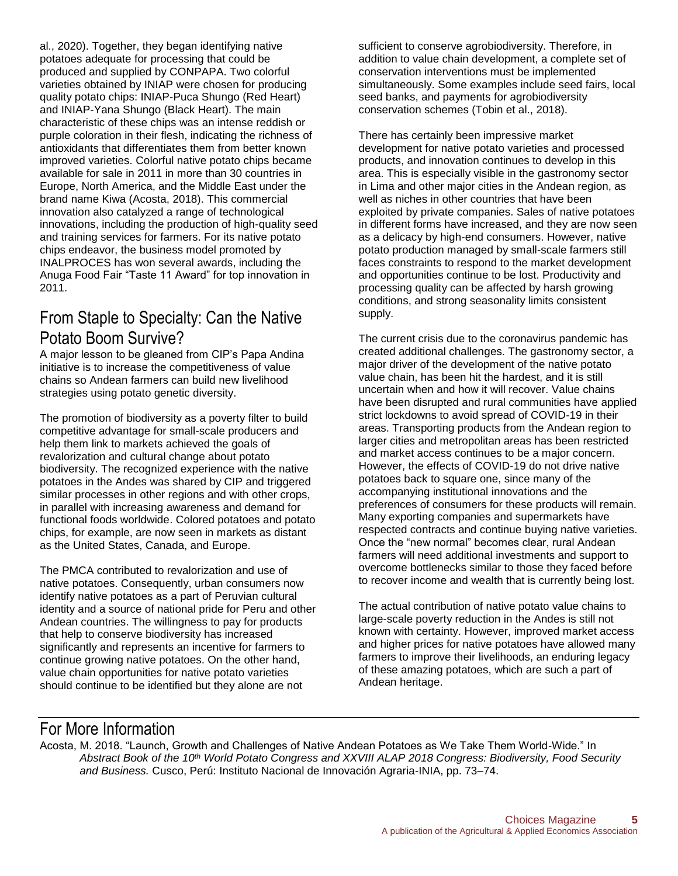al., 2020). Together, they began identifying native potatoes adequate for processing that could be produced and supplied by CONPAPA. Two colorful varieties obtained by INIAP were chosen for producing quality potato chips: INIAP-Puca Shungo (Red Heart) and INIAP-Yana Shungo (Black Heart). The main characteristic of these chips was an intense reddish or purple coloration in their flesh, indicating the richness of antioxidants that differentiates them from better known improved varieties. Colorful native potato chips became available for sale in 2011 in more than 30 countries in Europe, North America, and the Middle East under the brand name Kiwa (Acosta, 2018). This commercial innovation also catalyzed a range of technological innovations, including the production of high-quality seed and training services for farmers. For its native potato chips endeavor, the business model promoted by INALPROCES has won several awards, including the Anuga Food Fair "Taste 11 Award" for top innovation in 2011.

#### From Staple to Specialty: Can the Native Potato Boom Survive?

A major lesson to be gleaned from CIP's Papa Andina initiative is to increase the competitiveness of value chains so Andean farmers can build new livelihood strategies using potato genetic diversity.

The promotion of biodiversity as a poverty filter to build competitive advantage for small-scale producers and help them link to markets achieved the goals of revalorization and cultural change about potato biodiversity. The recognized experience with the native potatoes in the Andes was shared by CIP and triggered similar processes in other regions and with other crops, in parallel with increasing awareness and demand for functional foods worldwide. Colored potatoes and potato chips, for example, are now seen in markets as distant as the United States, Canada, and Europe.

The PMCA contributed to revalorization and use of native potatoes. Consequently, urban consumers now identify native potatoes as a part of Peruvian cultural identity and a source of national pride for Peru and other Andean countries. The willingness to pay for products that help to conserve biodiversity has increased significantly and represents an incentive for farmers to continue growing native potatoes. On the other hand, value chain opportunities for native potato varieties should continue to be identified but they alone are not

sufficient to conserve agrobiodiversity. Therefore, in addition to value chain development, a complete set of conservation interventions must be implemented simultaneously. Some examples include seed fairs, local seed banks, and payments for agrobiodiversity conservation schemes (Tobin et al., 2018).

There has certainly been impressive market development for native potato varieties and processed products, and innovation continues to develop in this area. This is especially visible in the gastronomy sector in Lima and other major cities in the Andean region, as well as niches in other countries that have been exploited by private companies. Sales of native potatoes in different forms have increased, and they are now seen as a delicacy by high-end consumers. However, native potato production managed by small-scale farmers still faces constraints to respond to the market development and opportunities continue to be lost. Productivity and processing quality can be affected by harsh growing conditions, and strong seasonality limits consistent supply.

The current crisis due to the coronavirus pandemic has created additional challenges. The gastronomy sector, a major driver of the development of the native potato value chain, has been hit the hardest, and it is still uncertain when and how it will recover. Value chains have been disrupted and rural communities have applied strict lockdowns to avoid spread of COVID-19 in their areas. Transporting products from the Andean region to larger cities and metropolitan areas has been restricted and market access continues to be a major concern. However, the effects of COVID-19 do not drive native potatoes back to square one, since many of the accompanying institutional innovations and the preferences of consumers for these products will remain. Many exporting companies and supermarkets have respected contracts and continue buying native varieties. Once the "new normal" becomes clear, rural Andean farmers will need additional investments and support to overcome bottlenecks similar to those they faced before to recover income and wealth that is currently being lost.

The actual contribution of native potato value chains to large-scale poverty reduction in the Andes is still not known with certainty. However, improved market access and higher prices for native potatoes have allowed many farmers to improve their livelihoods, an enduring legacy of these amazing potatoes, which are such a part of Andean heritage.

#### For More Information

Acosta, M. 2018. "Launch, Growth and Challenges of Native Andean Potatoes as We Take Them World-Wide." In *Abstract Book of the 10th World Potato Congress and XXVIII ALAP 2018 Congress: Biodiversity, Food Security and Business.* Cusco, Perú: Instituto Nacional de Innovación Agraria-INIA, pp. 73–74.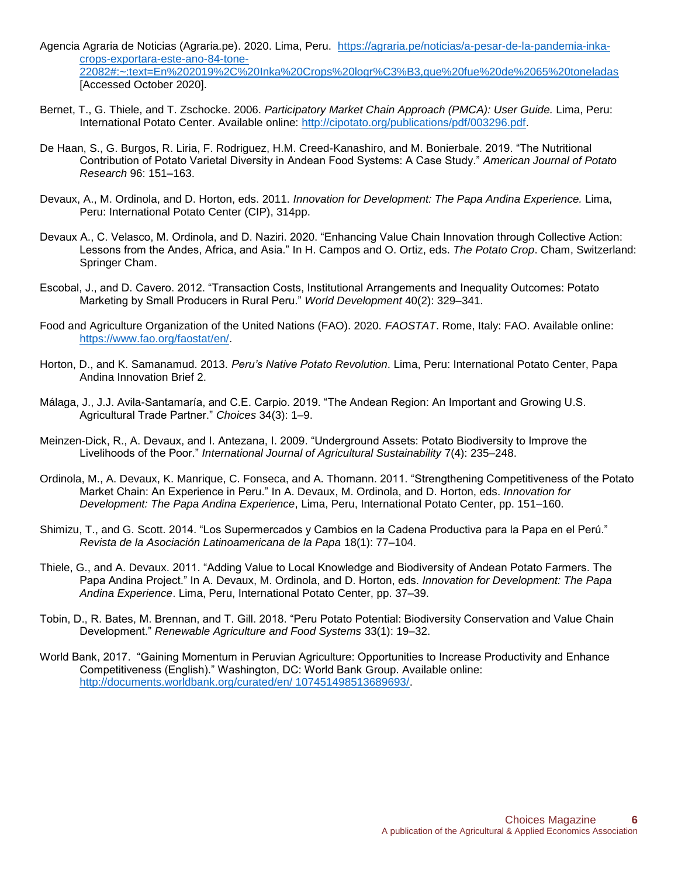- Agencia Agraria de Noticias (Agraria.pe). 2020. Lima, Peru. [https://agraria.pe/noticias/a-pesar-de-la-pandemia-inka](https://agraria.pe/noticias/a-pesar-de-la-pandemia-inka-crops-exportara-este-ano-84-tone-22082#:~:text=En%202019%2C%20Inka%20Crops%20logr%C3%B3,que%20fue%20de%2065%20toneladas)[crops-exportara-este-ano-84-tone-](https://agraria.pe/noticias/a-pesar-de-la-pandemia-inka-crops-exportara-este-ano-84-tone-22082#:~:text=En%202019%2C%20Inka%20Crops%20logr%C3%B3,que%20fue%20de%2065%20toneladas)[22082#:~:text=En%202019%2C%20Inka%20Crops%20logr%C3%B3,que%20fue%20de%2065%20toneladas](https://agraria.pe/noticias/a-pesar-de-la-pandemia-inka-crops-exportara-este-ano-84-tone-22082#:~:text=En%202019%2C%20Inka%20Crops%20logr%C3%B3,que%20fue%20de%2065%20toneladas) [Accessed October 2020].
- Bernet, T., G. Thiele, and T. Zschocke. 2006. *Participatory Market Chain Approach (PMCA): User Guide.* Lima, Peru: International Potato Center. Available online: [http://cipotato.org/publications/pdf/003296.pdf.](http://cipotato.org/publications/pdf/003296.pdf)
- De Haan, S., G. Burgos, R. Liria, F. Rodriguez, H.M. Creed-Kanashiro, and M. Bonierbale. 2019. "The Nutritional Contribution of Potato Varietal Diversity in Andean Food Systems: A Case Study." *American Journal of Potato Research* 96: 151–163.
- Devaux, A., M. Ordinola, and D. Horton, eds. 2011. *Innovation for Development: The Papa Andina Experience.* Lima, Peru: International Potato Center (CIP), 314pp.
- Devaux A., C. Velasco, M. Ordinola, and D. Naziri. 2020. "Enhancing Value Chain Innovation through Collective Action: Lessons from the Andes, Africa, and Asia." In H. Campos and O. Ortiz, eds. *The Potato Crop*. Cham, Switzerland: Springer Cham.
- Escobal, J., and D. Cavero. 2012. "Transaction Costs, Institutional Arrangements and Inequality Outcomes: Potato Marketing by Small Producers in Rural Peru." *World Development* 40(2): 329–341.
- Food and Agriculture Organization of the United Nations (FAO). 2020. *FAOSTAT*. Rome, Italy: FAO. Available online: [https://www.fao.org/faostat/en/.](https://www.fao.org/faostat/en/)
- Horton, D., and K. Samanamud. 2013. *Peru's Native Potato Revolution*. Lima, Peru: International Potato Center, Papa Andina Innovation Brief 2.
- Málaga, J., J.J. Avila-Santamaría, and C.E. Carpio. 2019. "The Andean Region: An Important and Growing U.S. Agricultural Trade Partner." *Choices* 34(3): 1–9.
- Meinzen-Dick, R., A. Devaux, and I. Antezana, I. 2009. "Underground Assets: Potato Biodiversity to Improve the Livelihoods of the Poor." *International Journal of Agricultural Sustainability* 7(4): 235–248.
- Ordinola, M., A. Devaux, K. Manrique, C. Fonseca, and A. Thomann. 2011. "Strengthening Competitiveness of the Potato Market Chain: An Experience in Peru." In A. Devaux, M. Ordinola, and D. Horton, eds. *Innovation for Development: The Papa Andina Experience*, Lima, Peru, International Potato Center, pp. 151–160.
- Shimizu, T., and G. Scott. 2014. "Los Supermercados y Cambios en la Cadena Productiva para la Papa en el Perú." *Revista de la Asociación Latinoamericana de la Papa* 18(1): 77–104.
- Thiele, G., and A. Devaux. 2011. "Adding Value to Local Knowledge and Biodiversity of Andean Potato Farmers. The Papa Andina Project." In A. Devaux, M. Ordinola, and D. Horton, eds. *Innovation for Development: The Papa Andina Experience*. Lima, Peru, International Potato Center, pp. 37–39.
- Tobin, D., R. Bates, M. Brennan, and T. Gill. 2018. "Peru Potato Potential: Biodiversity Conservation and Value Chain Development." *Renewable Agriculture and Food Systems* 33(1): 19–32.
- World Bank, 2017. "Gaining Momentum in Peruvian Agriculture: Opportunities to Increase Productivity and Enhance Competitiveness (English)." Washington, DC: World Bank Group. Available online: [http://documents.worldbank.org/curated/en/ 107451498513689693/.](http://documents.worldbank.org/curated/en/%20107451498513689693/)